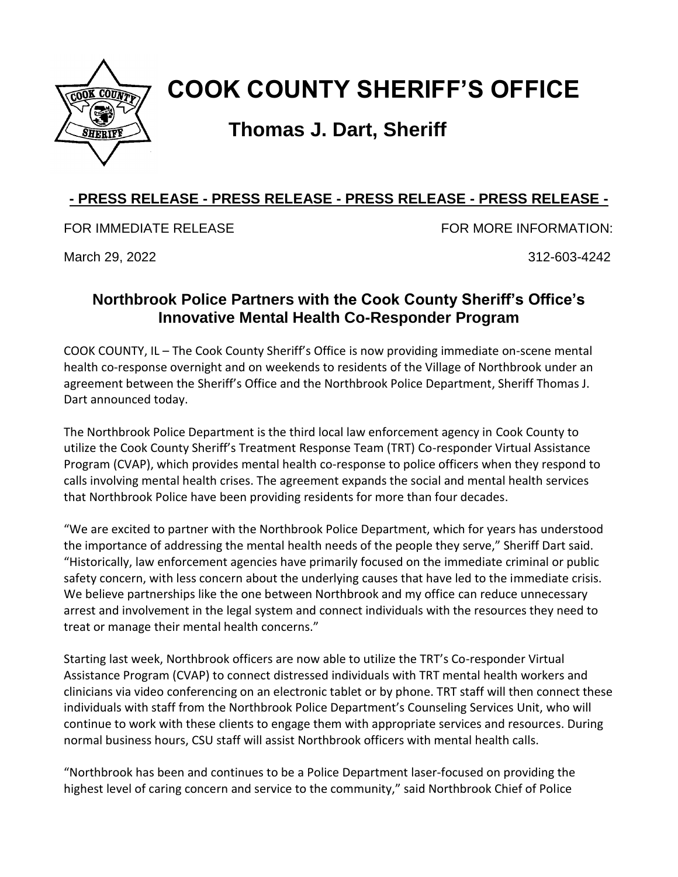

## **COOK COUNTY SHERIFF'S OFFICE**

## **Thomas J. Dart, Sheriff**

## **- PRESS RELEASE - PRESS RELEASE - PRESS RELEASE - PRESS RELEASE -**

FOR IMMEDIATE RELEASE FOR MORE INFORMATION:

March 29, 2022 312-603-4242

## **Northbrook Police Partners with the Cook County Sheriff's Office's Innovative Mental Health Co-Responder Program**

COOK COUNTY, IL – The Cook County Sheriff's Office is now providing immediate on-scene mental health co-response overnight and on weekends to residents of the Village of Northbrook under an agreement between the Sheriff's Office and the Northbrook Police Department, Sheriff Thomas J. Dart announced today.

The Northbrook Police Department is the third local law enforcement agency in Cook County to utilize the Cook County Sheriff's Treatment Response Team (TRT) Co-responder Virtual Assistance Program (CVAP), which provides mental health co-response to police officers when they respond to calls involving mental health crises. The agreement expands the social and mental health services that Northbrook Police have been providing residents for more than four decades.

"We are excited to partner with the Northbrook Police Department, which for years has understood the importance of addressing the mental health needs of the people they serve," Sheriff Dart said. "Historically, law enforcement agencies have primarily focused on the immediate criminal or public safety concern, with less concern about the underlying causes that have led to the immediate crisis. We believe partnerships like the one between Northbrook and my office can reduce unnecessary arrest and involvement in the legal system and connect individuals with the resources they need to treat or manage their mental health concerns."

Starting last week, Northbrook officers are now able to utilize the TRT's Co-responder Virtual Assistance Program (CVAP) to connect distressed individuals with TRT mental health workers and clinicians via video conferencing on an electronic tablet or by phone. TRT staff will then connect these individuals with staff from the Northbrook Police Department's Counseling Services Unit, who will continue to work with these clients to engage them with appropriate services and resources. During normal business hours, CSU staff will assist Northbrook officers with mental health calls.

"Northbrook has been and continues to be a Police Department laser-focused on providing the highest level of caring concern and service to the community," said Northbrook Chief of Police